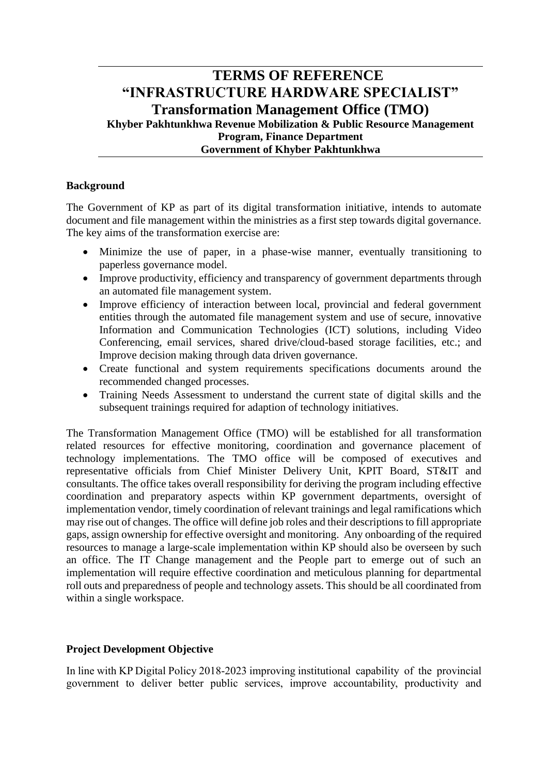# **TERMS OF REFERENCE "INFRASTRUCTURE HARDWARE SPECIALIST" Transformation Management Office (TMO) Khyber Pakhtunkhwa Revenue Mobilization & Public Resource Management Program, Finance Department Government of Khyber Pakhtunkhwa**

### **Background**

The Government of KP as part of its digital transformation initiative, intends to automate document and file management within the ministries as a first step towards digital governance. The key aims of the transformation exercise are:

- Minimize the use of paper, in a phase-wise manner, eventually transitioning to paperless governance model.
- Improve productivity, efficiency and transparency of government departments through an automated file management system.
- Improve efficiency of interaction between local, provincial and federal government entities through the automated file management system and use of secure, innovative Information and Communication Technologies (ICT) solutions, including Video Conferencing, email services, shared drive/cloud-based storage facilities, etc.; and Improve decision making through data driven governance.
- Create functional and system requirements specifications documents around the recommended changed processes.
- Training Needs Assessment to understand the current state of digital skills and the subsequent trainings required for adaption of technology initiatives.

The Transformation Management Office (TMO) will be established for all transformation related resources for effective monitoring, coordination and governance placement of technology implementations. The TMO office will be composed of executives and representative officials from Chief Minister Delivery Unit, KPIT Board, ST&IT and consultants. The office takes overall responsibility for deriving the program including effective coordination and preparatory aspects within KP government departments, oversight of implementation vendor, timely coordination of relevant trainings and legal ramifications which may rise out of changes. The office will define job roles and their descriptions to fill appropriate gaps, assign ownership for effective oversight and monitoring. Any onboarding of the required resources to manage a large-scale implementation within KP should also be overseen by such an office. The IT Change management and the People part to emerge out of such an implementation will require effective coordination and meticulous planning for departmental roll outs and preparedness of people and technology assets. This should be all coordinated from within a single workspace.

## **Project Development Objective**

In line with KP Digital Policy 2018-2023 improving institutional capability of the provincial government to deliver better public services, improve accountability, productivity and